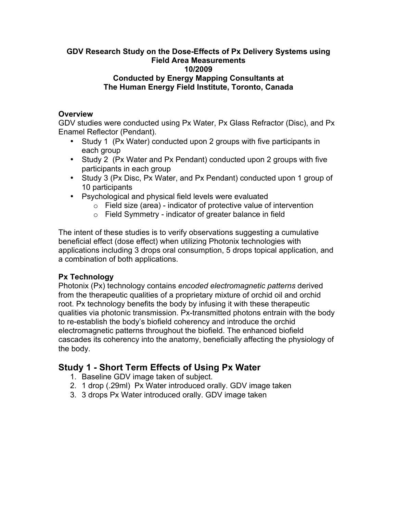#### **GDV Research Study on the Dose-Effects of Px Delivery Systems using Field Area Measurements 10/2009 Conducted by Energy Mapping Consultants at The Human Energy Field Institute, Toronto, Canada**

### **Overview**

GDV studies were conducted using Px Water, Px Glass Refractor (Disc), and Px Enamel Reflector (Pendant).

- Study 1 (Px Water) conducted upon 2 groups with five participants in each group
- Study 2 (Px Water and Px Pendant) conducted upon 2 groups with five participants in each group
- Study 3 (Px Disc, Px Water, and Px Pendant) conducted upon 1 group of 10 participants
- Psychological and physical field levels were evaluated
	- $\circ$  Field size (area) indicator of protective value of intervention
	- o Field Symmetry indicator of greater balance in field

The intent of these studies is to verify observations suggesting a cumulative beneficial effect (dose effect) when utilizing Photonix technologies with applications including 3 drops oral consumption, 5 drops topical application, and a combination of both applications.

### **Px Technology**

Photonix (Px) technology contains *encoded electromagnetic patterns* derived from the therapeutic qualities of a proprietary mixture of orchid oil and orchid root. Px technology benefits the body by infusing it with these therapeutic qualities via photonic transmission. Px-transmitted photons entrain with the body to re-establish the body's biofield coherency and introduce the orchid electromagnetic patterns throughout the biofield. The enhanced biofield cascades its coherency into the anatomy, beneficially affecting the physiology of the body.

# **Study 1 - Short Term Effects of Using Px Water**

- 1. Baseline GDV image taken of subject.
- 2. 1 drop (.29ml) Px Water introduced orally. GDV image taken
- 3. 3 drops Px Water introduced orally. GDV image taken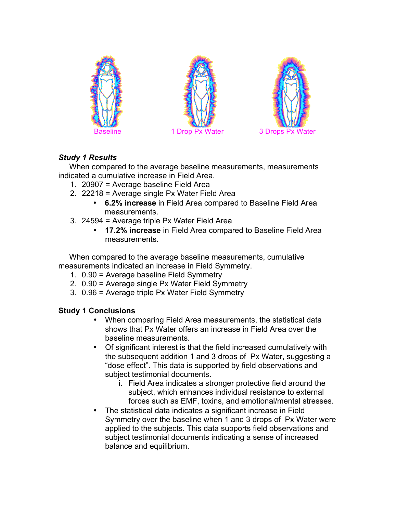





# *Study 1 Results*

 When compared to the average baseline measurements, measurements indicated a cumulative increase in Field Area.

- 1. 20907 = Average baseline Field Area
- 2. 22218 = Average single Px Water Field Area
	- **6.2% increase** in Field Area compared to Baseline Field Area measurements.
- 3. 24594 = Average triple Px Water Field Area
	- **17.2% increase** in Field Area compared to Baseline Field Area measurements.

 When compared to the average baseline measurements, cumulative measurements indicated an increase in Field Symmetry.

- 1. 0.90 = Average baseline Field Symmetry
- 2. 0.90 = Average single Px Water Field Symmetry
- 3. 0.96 = Average triple Px Water Field Symmetry

# **Study 1 Conclusions**

- When comparing Field Area measurements, the statistical data shows that Px Water offers an increase in Field Area over the baseline measurements.
- Of significant interest is that the field increased cumulatively with the subsequent addition 1 and 3 drops of Px Water, suggesting a "dose effect". This data is supported by field observations and subject testimonial documents.
	- i. Field Area indicates a stronger protective field around the subject, which enhances individual resistance to external forces such as EMF, toxins, and emotional/mental stresses.
- The statistical data indicates a significant increase in Field Symmetry over the baseline when 1 and 3 drops of Px Water were applied to the subjects. This data supports field observations and subject testimonial documents indicating a sense of increased balance and equilibrium.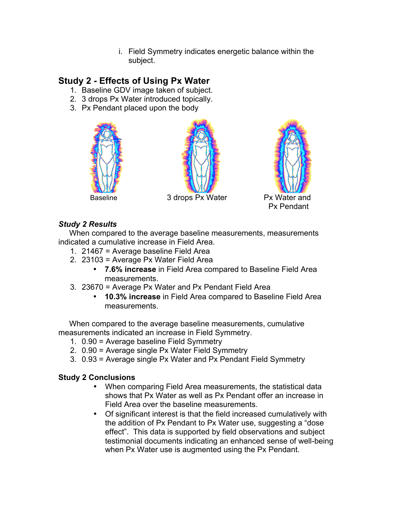i. Field Symmetry indicates energetic balance within the subject.

# **Study 2 - Effects of Using Px Water**

- 1. Baseline GDV image taken of subject.
- 2. 3 drops Px Water introduced topically.
- 3. Px Pendant placed upon the body







Baseline 3 drops Px Water Px Water and Px Pendant

## *Study 2 Results*

 When compared to the average baseline measurements, measurements indicated a cumulative increase in Field Area.

- 1. 21467 = Average baseline Field Area
- 2. 23103 = Average Px Water Field Area
	- **7.6% increase** in Field Area compared to Baseline Field Area measurements.
- 3. 23670 = Average Px Water and Px Pendant Field Area
	- **10.3% increase** in Field Area compared to Baseline Field Area measurements.

 When compared to the average baseline measurements, cumulative measurements indicated an increase in Field Symmetry.

- 1. 0.90 = Average baseline Field Symmetry
- 2. 0.90 = Average single Px Water Field Symmetry
- 3. 0.93 = Average single Px Water and Px Pendant Field Symmetry

# **Study 2 Conclusions**

- When comparing Field Area measurements, the statistical data shows that Px Water as well as Px Pendant offer an increase in Field Area over the baseline measurements.
- Of significant interest is that the field increased cumulatively with the addition of Px Pendant to Px Water use, suggesting a "dose effect". This data is supported by field observations and subject testimonial documents indicating an enhanced sense of well-being when Px Water use is augmented using the Px Pendant.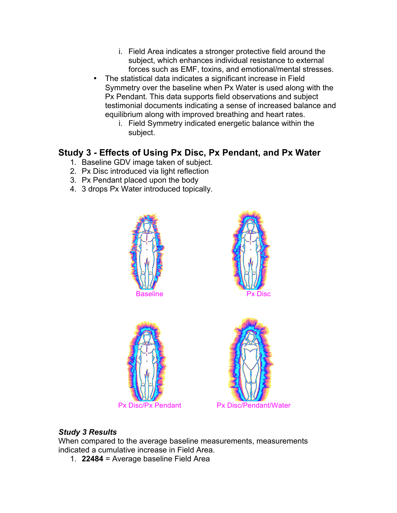- i. Field Area indicates a stronger protective field around the subject, which enhances individual resistance to external forces such as EMF, toxins, and emotional/mental stresses.
- The statistical data indicates a significant increase in Field Symmetry over the baseline when Px Water is used along with the Px Pendant. This data supports field observations and subject testimonial documents indicating a sense of increased balance and equilibrium along with improved breathing and heart rates.
	- i. Field Symmetry indicated energetic balance within the subject.

# **Study 3 - Effects of Using Px Disc, Px Pendant, and Px Water**

- 1. Baseline GDV image taken of subject.
- 2. Px Disc introduced via light reflection
- 3. Px Pendant placed upon the body
- 4. 3 drops Px Water introduced topically.









# *Study 3 Results*

When compared to the average baseline measurements, measurements indicated a cumulative increase in Field Area.

1. **22484** = Average baseline Field Area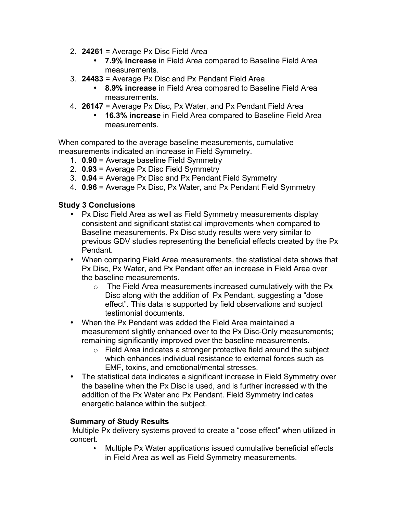- 2. **24261** = Average Px Disc Field Area
	- **7.9% increase** in Field Area compared to Baseline Field Area measurements.
- 3. **24483** = Average Px Disc and Px Pendant Field Area
	- **8.9% increase** in Field Area compared to Baseline Field Area measurements.
- 4. **26147** = Average Px Disc, Px Water, and Px Pendant Field Area
	- **16.3% increase** in Field Area compared to Baseline Field Area measurements.

When compared to the average baseline measurements, cumulative measurements indicated an increase in Field Symmetry.

- 1. **0.90** = Average baseline Field Symmetry
- 2. **0.93** = Average Px Disc Field Symmetry
- 3. **0.94** = Average Px Disc and Px Pendant Field Symmetry
- 4. **0.96** = Average Px Disc, Px Water, and Px Pendant Field Symmetry

### **Study 3 Conclusions**

- Px Disc Field Area as well as Field Symmetry measurements display consistent and significant statistical improvements when compared to Baseline measurements. Px Disc study results were very similar to previous GDV studies representing the beneficial effects created by the Px Pendant.
- When comparing Field Area measurements, the statistical data shows that Px Disc, Px Water, and Px Pendant offer an increase in Field Area over the baseline measurements.
	- $\circ$  The Field Area measurements increased cumulatively with the Px Disc along with the addition of Px Pendant, suggesting a "dose effect". This data is supported by field observations and subject testimonial documents.
- When the Px Pendant was added the Field Area maintained a measurement slightly enhanced over to the Px Disc-Only measurements; remaining significantly improved over the baseline measurements.
	- o Field Area indicates a stronger protective field around the subject which enhances individual resistance to external forces such as EMF, toxins, and emotional/mental stresses.
- The statistical data indicates a significant increase in Field Symmetry over the baseline when the Px Disc is used, and is further increased with the addition of the Px Water and Px Pendant. Field Symmetry indicates energetic balance within the subject.

#### **Summary of Study Results**

Multiple Px delivery systems proved to create a "dose effect" when utilized in concert.

• Multiple Px Water applications issued cumulative beneficial effects in Field Area as well as Field Symmetry measurements.